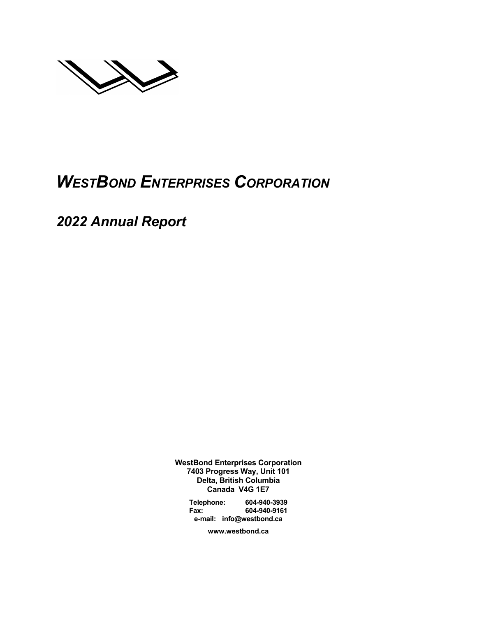

# *WESTBOND ENTERPRISES CORPORATION*

*2022 Annual Report*

**WestBond Enterprises Corporation 7403 Progress Way, Unit 101 Delta, British Columbia Canada V4G 1E7 Telephone: 604-940-3939**

**Fax: 604-940-9161 e-mail: info@westbond.ca**

**www.westbond.ca**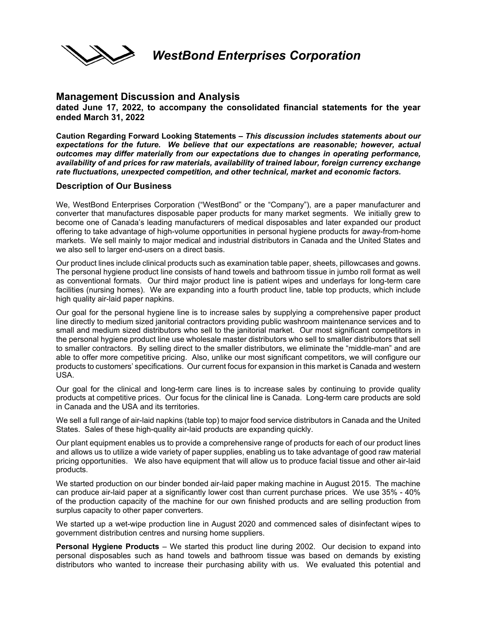

### **Management Discussion and Analysis**

**dated June 17, 2022, to accompany the consolidated financial statements for the year ended March 31, 2022** 

**Caution Regarding Forward Looking Statements** *– This discussion includes statements about our expectations for the future. We believe that our expectations are reasonable; however, actual outcomes may differ materially from our expectations due to changes in operating performance, availability of and prices for raw materials, availability of trained labour, foreign currency exchange rate fluctuations, unexpected competition, and other technical, market and economic factors.* 

#### **Description of Our Business**

We, WestBond Enterprises Corporation ("WestBond" or the "Company"), are a paper manufacturer and converter that manufactures disposable paper products for many market segments. We initially grew to become one of Canada's leading manufacturers of medical disposables and later expanded our product offering to take advantage of high-volume opportunities in personal hygiene products for away-from-home markets. We sell mainly to major medical and industrial distributors in Canada and the United States and we also sell to larger end-users on a direct basis.

Our product lines include clinical products such as examination table paper, sheets, pillowcases and gowns. The personal hygiene product line consists of hand towels and bathroom tissue in jumbo roll format as well as conventional formats. Our third major product line is patient wipes and underlays for long-term care facilities (nursing homes). We are expanding into a fourth product line, table top products, which include high quality air-laid paper napkins.

Our goal for the personal hygiene line is to increase sales by supplying a comprehensive paper product line directly to medium sized janitorial contractors providing public washroom maintenance services and to small and medium sized distributors who sell to the janitorial market. Our most significant competitors in the personal hygiene product line use wholesale master distributors who sell to smaller distributors that sell to smaller contractors. By selling direct to the smaller distributors, we eliminate the "middle-man" and are able to offer more competitive pricing. Also, unlike our most significant competitors, we will configure our products to customers' specifications. Our current focus for expansion in this market is Canada and western USA.

Our goal for the clinical and long-term care lines is to increase sales by continuing to provide quality products at competitive prices. Our focus for the clinical line is Canada. Long-term care products are sold in Canada and the USA and its territories.

We sell a full range of air-laid napkins (table top) to major food service distributors in Canada and the United States. Sales of these high-quality air-laid products are expanding quickly.

Our plant equipment enables us to provide a comprehensive range of products for each of our product lines and allows us to utilize a wide variety of paper supplies, enabling us to take advantage of good raw material pricing opportunities. We also have equipment that will allow us to produce facial tissue and other air-laid products.

We started production on our binder bonded air-laid paper making machine in August 2015. The machine can produce air-laid paper at a significantly lower cost than current purchase prices. We use 35% - 40% of the production capacity of the machine for our own finished products and are selling production from surplus capacity to other paper converters.

We started up a wet-wipe production line in August 2020 and commenced sales of disinfectant wipes to government distribution centres and nursing home suppliers.

**Personal Hygiene Products** – We started this product line during 2002. Our decision to expand into personal disposables such as hand towels and bathroom tissue was based on demands by existing distributors who wanted to increase their purchasing ability with us. We evaluated this potential and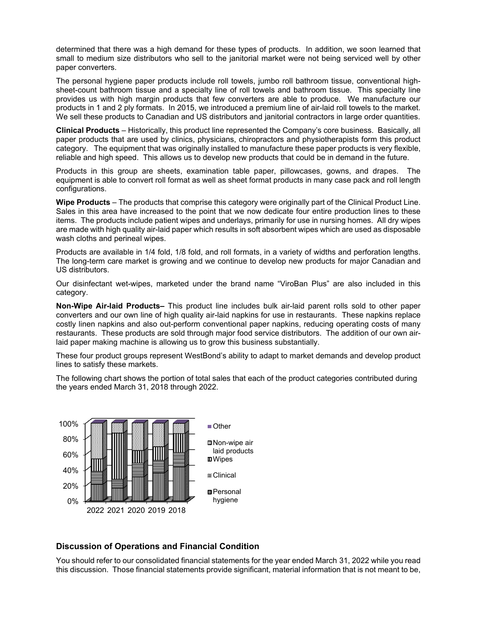determined that there was a high demand for these types of products. In addition, we soon learned that small to medium size distributors who sell to the janitorial market were not being serviced well by other paper converters.

The personal hygiene paper products include roll towels, jumbo roll bathroom tissue, conventional highsheet-count bathroom tissue and a specialty line of roll towels and bathroom tissue. This specialty line provides us with high margin products that few converters are able to produce. We manufacture our products in 1 and 2 ply formats. In 2015, we introduced a premium line of air-laid roll towels to the market. We sell these products to Canadian and US distributors and janitorial contractors in large order quantities.

**Clinical Products** – Historically, this product line represented the Company's core business. Basically, all paper products that are used by clinics, physicians, chiropractors and physiotherapists form this product category. The equipment that was originally installed to manufacture these paper products is very flexible, reliable and high speed. This allows us to develop new products that could be in demand in the future.

Products in this group are sheets, examination table paper, pillowcases, gowns, and drapes. The equipment is able to convert roll format as well as sheet format products in many case pack and roll length configurations.

**Wipe Products** – The products that comprise this category were originally part of the Clinical Product Line. Sales in this area have increased to the point that we now dedicate four entire production lines to these items. The products include patient wipes and underlays, primarily for use in nursing homes. All dry wipes are made with high quality air-laid paper which results in soft absorbent wipes which are used as disposable wash cloths and perineal wipes.

Products are available in 1/4 fold, 1/8 fold, and roll formats, in a variety of widths and perforation lengths. The long-term care market is growing and we continue to develop new products for major Canadian and US distributors.

Our disinfectant wet-wipes, marketed under the brand name "ViroBan Plus" are also included in this category.

**Non-Wipe Air-laid Products–** This product line includes bulk air-laid parent rolls sold to other paper converters and our own line of high quality air-laid napkins for use in restaurants. These napkins replace costly linen napkins and also out-perform conventional paper napkins, reducing operating costs of many restaurants. These products are sold through major food service distributors. The addition of our own airlaid paper making machine is allowing us to grow this business substantially.

These four product groups represent WestBond's ability to adapt to market demands and develop product lines to satisfy these markets.

The following chart shows the portion of total sales that each of the product categories contributed during the years ended March 31, 2018 through 2022.



#### **Discussion of Operations and Financial Condition**

You should refer to our consolidated financial statements for the year ended March 31, 2022 while you read this discussion. Those financial statements provide significant, material information that is not meant to be,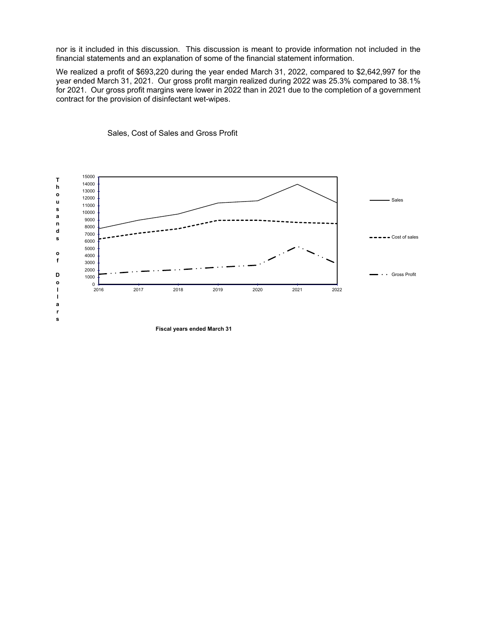nor is it included in this discussion. This discussion is meant to provide information not included in the financial statements and an explanation of some of the financial statement information.

We realized a profit of \$693,220 during the year ended March 31, 2022, compared to \$2,642,997 for the year ended March 31, 2021. Our gross profit margin realized during 2022 was 25.3% compared to 38.1% for 2021. Our gross profit margins were lower in 2022 than in 2021 due to the completion of a government contract for the provision of disinfectant wet-wipes.



Sales, Cost of Sales and Gross Profit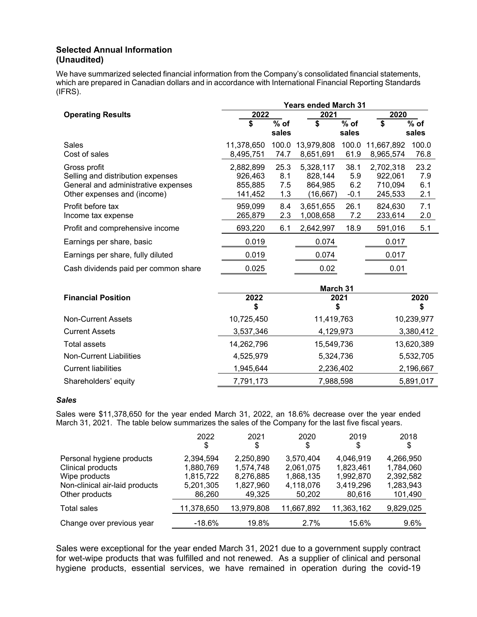#### **Selected Annual Information (Unaudited)**

We have summarized selected financial information from the Company's consolidated financial statements, which are prepared in Canadian dollars and in accordance with International Financial Reporting Standards (IFRS).

|                                      | <b>Years ended March 31</b> |        |            |        |            |        |
|--------------------------------------|-----------------------------|--------|------------|--------|------------|--------|
| <b>Operating Results</b>             | 2022                        |        | 2021       |        | 2020       |        |
|                                      | \$                          | $%$ of | \$         | $%$ of | \$         | $%$ of |
|                                      |                             | sales  |            | sales  |            | sales  |
| Sales                                | 11,378,650                  | 100.0  | 13,979,808 | 100.0  | 11,667,892 | 100.0  |
| Cost of sales                        | 8,495,751                   | 74.7   | 8,651,691  | 61.9   | 8,965,574  | 76.8   |
| Gross profit                         | 2,882,899                   | 25.3   | 5,328,117  | 38.1   | 2,702,318  | 23.2   |
| Selling and distribution expenses    | 926,463                     | 8.1    | 828,144    | 5.9    | 922,061    | 7.9    |
| General and administrative expenses  | 855,885                     | 7.5    | 864,985    | 6.2    | 710,094    | 6.1    |
| Other expenses and (income)          | 141,452                     | 1.3    | (16,667)   | $-0.1$ | 245,533    | 2.1    |
| Profit before tax                    | 959,099                     | 8.4    | 3,651,655  | 26.1   | 824,630    | 7.1    |
| Income tax expense                   | 265,879                     | 2.3    | 1,008,658  | 7.2    | 233,614    | 2.0    |
| Profit and comprehensive income      | 693,220                     | 6.1    | 2,642,997  | 18.9   | 591,016    | 5.1    |
| Earnings per share, basic            | 0.019                       |        | 0.074      |        | 0.017      |        |
| Earnings per share, fully diluted    | 0.019                       |        | 0.074      |        | 0.017      |        |
| Cash dividends paid per common share | 0.025                       |        | 0.02       |        | 0.01       |        |
|                                      | March 31                    |        |            |        |            |        |
| <b>Financial Position</b>            | 2022                        |        |            | 2021   |            | 2020   |

|                                | S          |            | \$         |
|--------------------------------|------------|------------|------------|
| <b>Non-Current Assets</b>      | 10,725,450 | 11,419,763 | 10,239,977 |
| <b>Current Assets</b>          | 3,537,346  | 4,129,973  | 3,380,412  |
| Total assets                   | 14,262,796 | 15,549,736 | 13,620,389 |
| <b>Non-Current Liabilities</b> | 4,525,979  | 5,324,736  | 5,532,705  |
| <b>Current liabilities</b>     | 1,945,644  | 2,236,402  | 2,196,667  |
| Shareholders' equity           | 7,791,173  | 7,988,598  | 5,891,017  |

#### *Sales*

Sales were \$11,378,650 for the year ended March 31, 2022, an 18.6% decrease over the year ended March 31, 2021. The table below summarizes the sales of the Company for the last five fiscal years.

| 2022       | 2021                         | 2020                         | 2019                        | 2018<br>\$                   |
|------------|------------------------------|------------------------------|-----------------------------|------------------------------|
|            |                              |                              |                             |                              |
|            |                              |                              |                             | 4,266,950                    |
|            |                              |                              |                             | 1,784,060                    |
| 1,815,722  | 8,276,885                    | 1,868,135                    | 1,992,870                   | 2,392,582                    |
| 5,201,305  | 1,827,960                    | 4,118,076                    | 3,419,296                   | 1,283,943                    |
| 86,260     | 49,325                       | 50,202                       | 80,616                      | 101,490                      |
| 11,378,650 | 13,979,808                   | 11,667,892                   | 11,363,162                  | 9,829,025                    |
| $-18.6%$   | 19.8%                        | 2.7%                         | 15.6%                       | 9.6%                         |
|            | \$<br>2,394,594<br>1,880,769 | \$<br>2,250,890<br>1,574,748 | S<br>3,570,404<br>2,061,075 | \$<br>4,046,919<br>1,823,461 |

Sales were exceptional for the year ended March 31, 2021 due to a government supply contract for wet-wipe products that was fulfilled and not renewed. As a supplier of clinical and personal hygiene products, essential services, we have remained in operation during the covid-19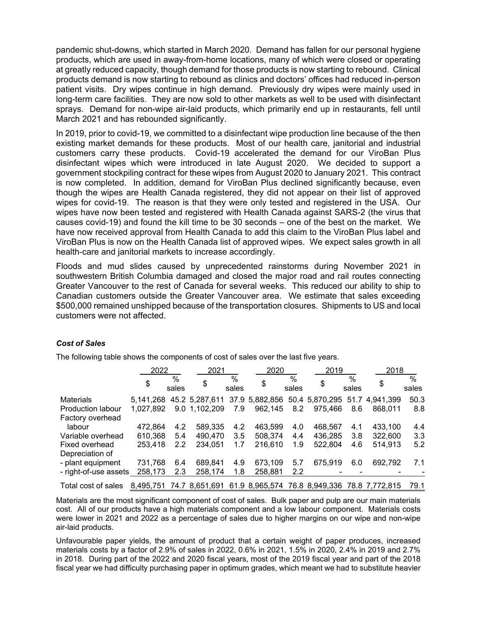pandemic shut-downs, which started in March 2020. Demand has fallen for our personal hygiene products, which are used in away-from-home locations, many of which were closed or operating at greatly reduced capacity, though demand for those products is now starting to rebound. Clinical products demand is now starting to rebound as clinics and doctors' offices had reduced in-person patient visits. Dry wipes continue in high demand. Previously dry wipes were mainly used in long-term care facilities. They are now sold to other markets as well to be used with disinfectant sprays. Demand for non-wipe air-laid products, which primarily end up in restaurants, fell until March 2021 and has rebounded significantly.

In 2019, prior to covid-19, we committed to a disinfectant wipe production line because of the then existing market demands for these products. Most of our health care, janitorial and industrial customers carry these products. Covid-19 accelerated the demand for our ViroBan Plus disinfectant wipes which were introduced in late August 2020. We decided to support a government stockpiling contract for these wipes from August 2020 to January 2021. This contract is now completed. In addition, demand for ViroBan Plus declined significantly because, even though the wipes are Health Canada registered, they did not appear on their list of approved wipes for covid-19. The reason is that they were only tested and registered in the USA. Our wipes have now been tested and registered with Health Canada against SARS-2 (the virus that causes covid-19) and found the kill time to be 30 seconds – one of the best on the market. We have now received approval from Health Canada to add this claim to the ViroBan Plus label and ViroBan Plus is now on the Health Canada list of approved wipes. We expect sales growth in all health-care and janitorial markets to increase accordingly.

Floods and mud slides caused by unprecedented rainstorms during November 2021 in southwestern British Columbia damaged and closed the major road and rail routes connecting Greater Vancouver to the rest of Canada for several weeks. This reduced our ability to ship to Canadian customers outside the Greater Vancouver area. We estimate that sales exceeding \$500,000 remained unshipped because of the transportation closures. Shipments to US and local customers were not affected.

#### *Cost of Sales*

The following table shows the components of cost of sales over the last five years.

|                          | 2022      |            | 2021          |            | 2020    |            | 2019    |            | 2018                                                                  |            |
|--------------------------|-----------|------------|---------------|------------|---------|------------|---------|------------|-----------------------------------------------------------------------|------------|
|                          | \$        | %<br>sales | \$            | %<br>sales | \$      | %<br>sales | \$      | %<br>sales | \$                                                                    | %<br>sales |
| <b>Materials</b>         | 5.141.268 |            |               |            |         |            |         |            | 45.2 5,287,611 37.9 5,882,856 50.4 5,870,295 51.7 4,941,399           | 50.3       |
| <b>Production labour</b> | 1.027.892 |            | 9.0 1.102.209 | 7.9        | 962,145 | 8.2        | 975,466 | 8.6        | 868.011                                                               | 8.8        |
| Factory overhead         |           |            |               |            |         |            |         |            |                                                                       |            |
| labour                   | 472.864   | 4.2        | 589.335       | 4.2        | 463.599 | 4.0        | 468.567 | 4.1        | 433,100                                                               | 4.4        |
| Variable overhead        | 610.368   | 5.4        | 490.470       | 3.5        | 508.374 | 4.4        | 436.285 | 3.8        | 322,600                                                               | 3.3        |
| Fixed overhead           | 253.418   | 2.2        | 234,051       | 1.7        | 216,610 | 1.9        | 522,804 | 4.6        | 514,913                                                               | 5.2        |
| Depreciation of          |           |            |               |            |         |            |         |            |                                                                       |            |
| - plant equipment        | 731,768   | 6.4        | 689.841       | 4.9        | 673,109 | 5.7        | 675,919 | 6.0        | 692.792                                                               | 7.1        |
| - right-of-use assets    | 258,173   | 2.3        | 258,174       | 1.8        | 258,881 | 2.2        |         |            |                                                                       |            |
| Total cost of sales      |           |            |               |            |         |            |         |            | 8,495,751 74.7 8,651,691 61.9 8,965,574 76.8 8,949,336 78.8 7,772,815 | 79.1       |

Materials are the most significant component of cost of sales. Bulk paper and pulp are our main materials cost. All of our products have a high materials component and a low labour component. Materials costs were lower in 2021 and 2022 as a percentage of sales due to higher margins on our wipe and non-wipe air-laid products.

Unfavourable paper yields, the amount of product that a certain weight of paper produces, increased materials costs by a factor of 2.9% of sales in 2022, 0.6% in 2021, 1.5% in 2020, 2.4% in 2019 and 2.7% in 2018. During part of the 2022 and 2020 fiscal years, most of the 2019 fiscal year and part of the 2018 fiscal year we had difficulty purchasing paper in optimum grades, which meant we had to substitute heavier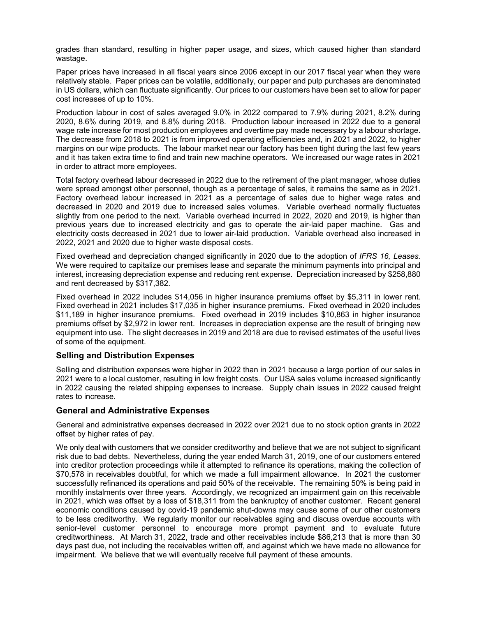grades than standard, resulting in higher paper usage, and sizes, which caused higher than standard wastage.

Paper prices have increased in all fiscal years since 2006 except in our 2017 fiscal year when they were relatively stable. Paper prices can be volatile, additionally, our paper and pulp purchases are denominated in US dollars, which can fluctuate significantly. Our prices to our customers have been set to allow for paper cost increases of up to 10%.

Production labour in cost of sales averaged 9.0% in 2022 compared to 7.9% during 2021, 8.2% during 2020, 8.6% during 2019, and 8.8% during 2018. Production labour increased in 2022 due to a general wage rate increase for most production employees and overtime pay made necessary by a labour shortage. The decrease from 2018 to 2021 is from improved operating efficiencies and, in 2021 and 2022, to higher margins on our wipe products. The labour market near our factory has been tight during the last few years and it has taken extra time to find and train new machine operators. We increased our wage rates in 2021 in order to attract more employees.

Total factory overhead labour decreased in 2022 due to the retirement of the plant manager, whose duties were spread amongst other personnel, though as a percentage of sales, it remains the same as in 2021. Factory overhead labour increased in 2021 as a percentage of sales due to higher wage rates and decreased in 2020 and 2019 due to increased sales volumes. Variable overhead normally fluctuates slightly from one period to the next. Variable overhead incurred in 2022, 2020 and 2019, is higher than previous years due to increased electricity and gas to operate the air-laid paper machine. Gas and electricity costs decreased in 2021 due to lower air-laid production. Variable overhead also increased in 2022, 2021 and 2020 due to higher waste disposal costs.

Fixed overhead and depreciation changed significantly in 2020 due to the adoption of *IFRS 16, Leases.*  We were required to capitalize our premises lease and separate the minimum payments into principal and interest, increasing depreciation expense and reducing rent expense. Depreciation increased by \$258,880 and rent decreased by \$317,382.

Fixed overhead in 2022 includes \$14,056 in higher insurance premiums offset by \$5,311 in lower rent. Fixed overhead in 2021 includes \$17,035 in higher insurance premiums. Fixed overhead in 2020 includes \$11,189 in higher insurance premiums. Fixed overhead in 2019 includes \$10,863 in higher insurance premiums offset by \$2,972 in lower rent. Increases in depreciation expense are the result of bringing new equipment into use. The slight decreases in 2019 and 2018 are due to revised estimates of the useful lives of some of the equipment.

#### **Selling and Distribution Expenses**

Selling and distribution expenses were higher in 2022 than in 2021 because a large portion of our sales in 2021 were to a local customer, resulting in low freight costs. Our USA sales volume increased significantly in 2022 causing the related shipping expenses to increase. Supply chain issues in 2022 caused freight rates to increase.

#### **General and Administrative Expenses**

General and administrative expenses decreased in 2022 over 2021 due to no stock option grants in 2022 offset by higher rates of pay.

We only deal with customers that we consider creditworthy and believe that we are not subject to significant risk due to bad debts. Nevertheless, during the year ended March 31, 2019, one of our customers entered into creditor protection proceedings while it attempted to refinance its operations, making the collection of \$70,578 in receivables doubtful, for which we made a full impairment allowance. In 2021 the customer successfully refinanced its operations and paid 50% of the receivable. The remaining 50% is being paid in monthly instalments over three years. Accordingly, we recognized an impairment gain on this receivable in 2021, which was offset by a loss of \$18,311 from the bankruptcy of another customer. Recent general economic conditions caused by covid-19 pandemic shut-downs may cause some of our other customers to be less creditworthy. We regularly monitor our receivables aging and discuss overdue accounts with senior-level customer personnel to encourage more prompt payment and to evaluate future creditworthiness. At March 31, 2022, trade and other receivables include \$86,213 that is more than 30 days past due, not including the receivables written off, and against which we have made no allowance for impairment. We believe that we will eventually receive full payment of these amounts.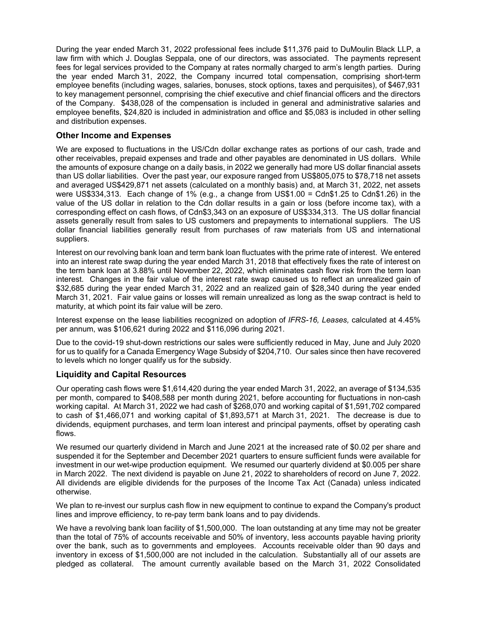During the year ended March 31, 2022 professional fees include \$11,376 paid to DuMoulin Black LLP, a law firm with which J. Douglas Seppala, one of our directors, was associated. The payments represent fees for legal services provided to the Company at rates normally charged to arm's length parties. During the year ended March 31, 2022, the Company incurred total compensation, comprising short-term employee benefits (including wages, salaries, bonuses, stock options, taxes and perquisites), of \$467,931 to key management personnel, comprising the chief executive and chief financial officers and the directors of the Company. \$438,028 of the compensation is included in general and administrative salaries and employee benefits, \$24,820 is included in administration and office and \$5,083 is included in other selling and distribution expenses.

#### **Other Income and Expenses**

We are exposed to fluctuations in the US/Cdn dollar exchange rates as portions of our cash, trade and other receivables, prepaid expenses and trade and other payables are denominated in US dollars. While the amounts of exposure change on a daily basis, in 2022 we generally had more US dollar financial assets than US dollar liabilities. Over the past year, our exposure ranged from US\$805,075 to \$78,718 net assets and averaged US\$429,871 net assets (calculated on a monthly basis) and, at March 31, 2022, net assets were US\$334,313. Each change of 1% (e.g., a change from US\$1.00 = Cdn\$1.25 to Cdn\$1.26) in the value of the US dollar in relation to the Cdn dollar results in a gain or loss (before income tax), with a corresponding effect on cash flows, of Cdn\$3,343 on an exposure of US\$334,313. The US dollar financial assets generally result from sales to US customers and prepayments to international suppliers. The US dollar financial liabilities generally result from purchases of raw materials from US and international suppliers.

Interest on our revolving bank loan and term bank loan fluctuates with the prime rate of interest. We entered into an interest rate swap during the year ended March 31, 2018 that effectively fixes the rate of interest on the term bank loan at 3.88% until November 22, 2022, which eliminates cash flow risk from the term loan interest. Changes in the fair value of the interest rate swap caused us to reflect an unrealized gain of \$32,685 during the year ended March 31, 2022 and an realized gain of \$28,340 during the year ended March 31, 2021. Fair value gains or losses will remain unrealized as long as the swap contract is held to maturity, at which point its fair value will be zero.

Interest expense on the lease liabilities recognized on adoption of *IFRS-16, Leases,* calculated at 4.45% per annum, was \$106,621 during 2022 and \$116,096 during 2021.

Due to the covid-19 shut-down restrictions our sales were sufficiently reduced in May, June and July 2020 for us to qualify for a Canada Emergency Wage Subsidy of \$204,710. Our sales since then have recovered to levels which no longer qualify us for the subsidy.

### **Liquidity and Capital Resources**

Our operating cash flows were \$1,614,420 during the year ended March 31, 2022, an average of \$134,535 per month, compared to \$408,588 per month during 2021, before accounting for fluctuations in non-cash working capital. At March 31, 2022 we had cash of \$268,070 and working capital of \$1,591,702 compared to cash of \$1,466,071 and working capital of \$1,893,571 at March 31, 2021. The decrease is due to dividends, equipment purchases, and term loan interest and principal payments, offset by operating cash flows.

We resumed our quarterly dividend in March and June 2021 at the increased rate of \$0.02 per share and suspended it for the September and December 2021 quarters to ensure sufficient funds were available for investment in our wet-wipe production equipment. We resumed our quarterly dividend at \$0.005 per share in March 2022. The next dividend is payable on June 21, 2022 to shareholders of record on June 7, 2022. All dividends are eligible dividends for the purposes of the Income Tax Act (Canada) unless indicated otherwise.

We plan to re-invest our surplus cash flow in new equipment to continue to expand the Company's product lines and improve efficiency, to re-pay term bank loans and to pay dividends.

We have a revolving bank loan facility of \$1,500,000. The loan outstanding at any time may not be greater than the total of 75% of accounts receivable and 50% of inventory, less accounts payable having priority over the bank, such as to governments and employees. Accounts receivable older than 90 days and inventory in excess of \$1,500,000 are not included in the calculation. Substantially all of our assets are pledged as collateral. The amount currently available based on the March 31, 2022 Consolidated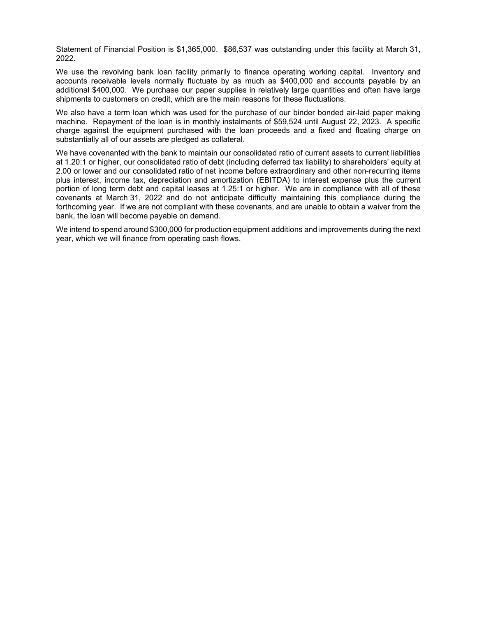Statement of Financial Position is \$1,365,000. \$86,537 was outstanding under this facility at March 31, 2022.

We use the revolving bank loan facility primarily to finance operating working capital. Inventory and accounts receivable levels normally fluctuate by as much as \$400,000 and accounts payable by an additional \$400,000. We purchase our paper supplies in relatively large quantities and often have large shipments to customers on credit, which are the main reasons for these fluctuations.

We also have a term loan which was used for the purchase of our binder bonded air-laid paper making machine. Repayment of the loan is in monthly instalments of \$59,524 until August 22, 2023. A specific charge against the equipment purchased with the loan proceeds and a fixed and floating charge on substantially all of our assets are pledged as collateral.

We have covenanted with the bank to maintain our consolidated ratio of current assets to current liabilities at 1.20:1 or higher, our consolidated ratio of debt (including deferred tax liability) to shareholders' equity at 2.00 or lower and our consolidated ratio of net income before extraordinary and other non-recurring items plus interest, income tax, depreciation and amortization (EBITDA) to interest expense plus the current portion of long term debt and capital leases at 1.25:1 or higher. We are in compliance with all of these covenants at March 31, 2022 and do not anticipate difficulty maintaining this compliance during the forthcoming year. If we are not compliant with these covenants, and are unable to obtain a waiver from the bank, the loan will become payable on demand.

We intend to spend around \$300,000 for production equipment additions and improvements during the next year, which we will finance from operating cash flows.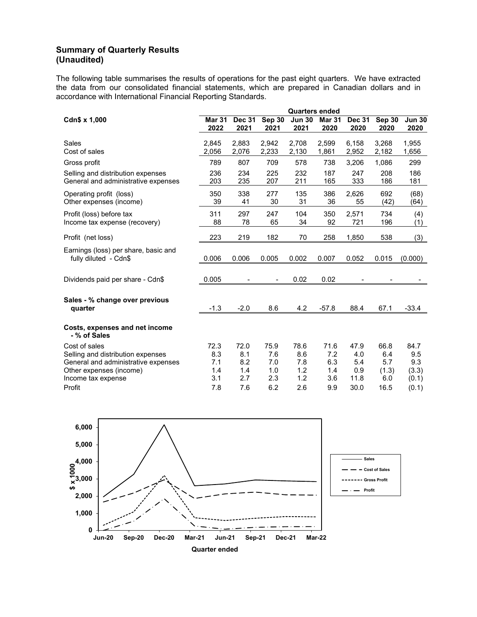#### **Summary of Quarterly Results (Unaudited)**

The following table summarises the results of operations for the past eight quarters. We have extracted the data from our consolidated financial statements, which are prepared in Canadian dollars and in accordance with International Financial Reporting Standards.

|                                                                                           | <b>Quarters ended</b> |                       |                       |                       |                    |                       |                       |                       |
|-------------------------------------------------------------------------------------------|-----------------------|-----------------------|-----------------------|-----------------------|--------------------|-----------------------|-----------------------|-----------------------|
| Cdn\$ x 1,000                                                                             | <b>Mar 31</b><br>2022 | <b>Dec 31</b><br>2021 | <b>Sep 30</b><br>2021 | <b>Jun 30</b><br>2021 | Mar 31<br>2020     | <b>Dec 31</b><br>2020 | <b>Sep 30</b><br>2020 | <b>Jun 30</b><br>2020 |
| Sales<br>Cost of sales                                                                    | 2,845<br>2,056        | 2,883<br>2,076        | 2,942<br>2,233        | 2,708<br>2,130        | 2,599<br>1,861     | 6,158<br>2,952        | 3,268<br>2,182        | 1,955<br>1,656        |
| Gross profit                                                                              | 789                   | 807                   | 709                   | 578                   | 738                | 3,206                 | 1,086                 | 299                   |
| Selling and distribution expenses<br>General and administrative expenses                  | 236<br>203            | 234<br>235            | 225<br>207            | 232<br>211            | 187<br>165         | 247<br>333            | 208<br>186            | 186<br>181            |
| Operating profit (loss)<br>Other expenses (income)                                        | 350<br>39             | 338<br>41             | 277<br>30             | 135<br>31             | 386<br>36          | 2,626<br>55           | 692<br>(42)           | (68)<br>(64)          |
| Profit (loss) before tax<br>Income tax expense (recovery)                                 | 311<br>88             | 297<br>78             | 247<br>65             | 104<br>34             | 350<br>92          | 2,571<br>721          | 734<br>196            | (4)<br>(1)            |
| Profit (net loss)                                                                         | 223                   | 219                   | 182                   | 70                    | 258                | 1,850                 | 538                   | (3)                   |
| Earnings (loss) per share, basic and<br>fully diluted - Cdn\$                             | 0.006                 | 0.006                 | 0.005                 | 0.002                 | 0.007              | 0.052                 | 0.015                 | (0.000)               |
| Dividends paid per share - Cdn\$                                                          | 0.005                 |                       |                       | 0.02                  | 0.02               |                       |                       |                       |
| Sales - % change over previous<br>quarter                                                 | $-1.3$                | $-2.0$                | 8.6                   | 4.2                   | $-57.8$            | 88.4                  | 67.1                  | $-33.4$               |
| Costs, expenses and net income<br>- % of Sales                                            |                       |                       |                       |                       |                    |                       |                       |                       |
| Cost of sales<br>Selling and distribution expenses<br>General and administrative expenses | 72.3<br>8.3<br>7.1    | 72.0<br>8.1<br>8.2    | 75.9<br>7.6<br>7.0    | 78.6<br>8.6<br>7.8    | 71.6<br>7.2<br>6.3 | 47.9<br>4.0<br>5.4    | 66.8<br>6.4<br>5.7    | 84.7<br>9.5<br>9.3    |
| Other expenses (income)<br>Income tax expense                                             | 1.4<br>3.1            | 1.4<br>2.7            | 1.0<br>2.3            | 1.2<br>1.2            | 1.4<br>3.6         | 0.9<br>11.8           | (1.3)<br>6.0          | (3.3)<br>(0.1)        |
| Profit                                                                                    | 7.8                   | 7.6                   | 6.2                   | 2.6                   | 9.9                | 30.0                  | 16.5                  | (0.1)                 |

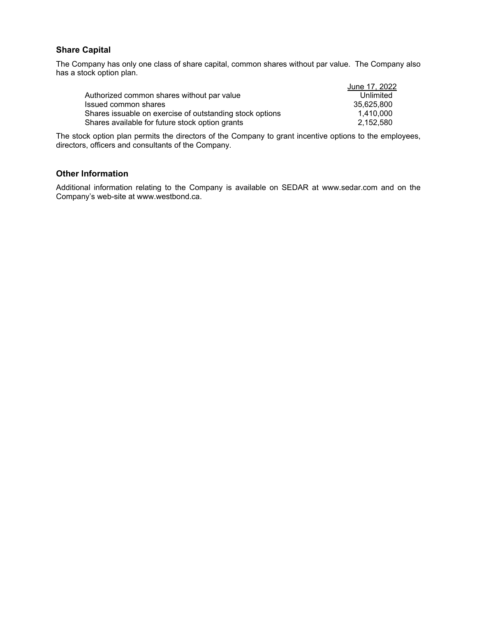### **Share Capital**

The Company has only one class of share capital, common shares without par value. The Company also has a stock option plan.

|                                                          | June 17, 2022 |
|----------------------------------------------------------|---------------|
| Authorized common shares without par value               | Unlimited     |
| Issued common shares                                     | 35.625.800    |
| Shares issuable on exercise of outstanding stock options | 1,410,000     |
| Shares available for future stock option grants          | 2.152.580     |

The stock option plan permits the directors of the Company to grant incentive options to the employees, directors, officers and consultants of the Company.

#### **Other Information**

Additional information relating to the Company is available on SEDAR at www.sedar.com and on the Company's web-site at www.westbond.ca.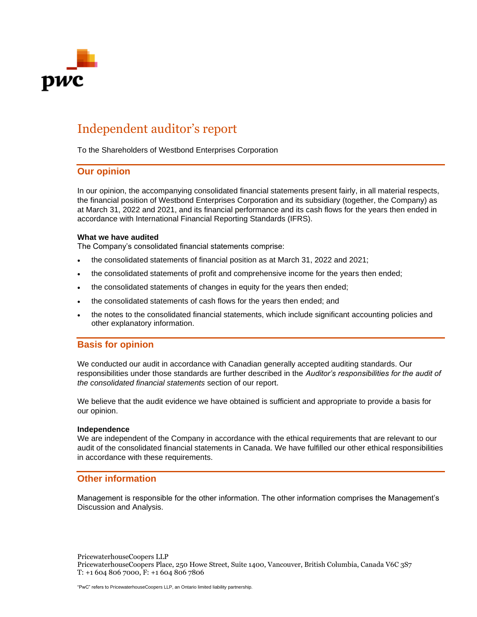

## Independent auditor's report

To the Shareholders of Westbond Enterprises Corporation

#### **Our opinion**

In our opinion, the accompanying consolidated financial statements present fairly, in all material respects, the financial position of Westbond Enterprises Corporation and its subsidiary (together, the Company) as at March 31, 2022 and 2021, and its financial performance and its cash flows for the years then ended in accordance with International Financial Reporting Standards (IFRS).

#### **What we have audited**

The Company's consolidated financial statements comprise:

- the consolidated statements of financial position as at March 31, 2022 and 2021;
- the consolidated statements of profit and comprehensive income for the years then ended;
- the consolidated statements of changes in equity for the years then ended;
- the consolidated statements of cash flows for the years then ended; and
- the notes to the consolidated financial statements, which include significant accounting policies and other explanatory information.

### **Basis for opinion**

We conducted our audit in accordance with Canadian generally accepted auditing standards. Our responsibilities under those standards are further described in the *Auditor's responsibilities for the audit of the consolidated financial statements* section of our report.

We believe that the audit evidence we have obtained is sufficient and appropriate to provide a basis for our opinion.

#### **Independence**

We are independent of the Company in accordance with the ethical requirements that are relevant to our audit of the consolidated financial statements in Canada. We have fulfilled our other ethical responsibilities in accordance with these requirements.

### **Other information**

Management is responsible for the other information. The other information comprises the Management's Discussion and Analysis.

PricewaterhouseCoopers LLP PricewaterhouseCoopers Place, 250 Howe Street, Suite 1400, Vancouver, British Columbia, Canada V6C 3S7 T: +1 604 806 7000, F: +1 604 806 7806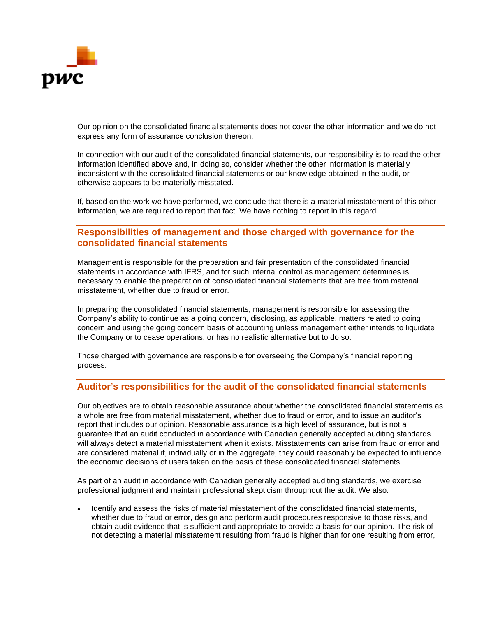

Our opinion on the consolidated financial statements does not cover the other information and we do not express any form of assurance conclusion thereon.

In connection with our audit of the consolidated financial statements, our responsibility is to read the other information identified above and, in doing so, consider whether the other information is materially inconsistent with the consolidated financial statements or our knowledge obtained in the audit, or otherwise appears to be materially misstated.

If, based on the work we have performed, we conclude that there is a material misstatement of this other information, we are required to report that fact. We have nothing to report in this regard.

#### **Responsibilities of management and those charged with governance for the consolidated financial statements**

Management is responsible for the preparation and fair presentation of the consolidated financial statements in accordance with IFRS, and for such internal control as management determines is necessary to enable the preparation of consolidated financial statements that are free from material misstatement, whether due to fraud or error.

In preparing the consolidated financial statements, management is responsible for assessing the Company's ability to continue as a going concern, disclosing, as applicable, matters related to going concern and using the going concern basis of accounting unless management either intends to liquidate the Company or to cease operations, or has no realistic alternative but to do so.

Those charged with governance are responsible for overseeing the Company's financial reporting process.

#### **Auditor's responsibilities for the audit of the consolidated financial statements**

Our objectives are to obtain reasonable assurance about whether the consolidated financial statements as a whole are free from material misstatement, whether due to fraud or error, and to issue an auditor's report that includes our opinion. Reasonable assurance is a high level of assurance, but is not a guarantee that an audit conducted in accordance with Canadian generally accepted auditing standards will always detect a material misstatement when it exists. Misstatements can arise from fraud or error and are considered material if, individually or in the aggregate, they could reasonably be expected to influence the economic decisions of users taken on the basis of these consolidated financial statements.

As part of an audit in accordance with Canadian generally accepted auditing standards, we exercise professional judgment and maintain professional skepticism throughout the audit. We also:

• Identify and assess the risks of material misstatement of the consolidated financial statements, whether due to fraud or error, design and perform audit procedures responsive to those risks, and obtain audit evidence that is sufficient and appropriate to provide a basis for our opinion. The risk of not detecting a material misstatement resulting from fraud is higher than for one resulting from error,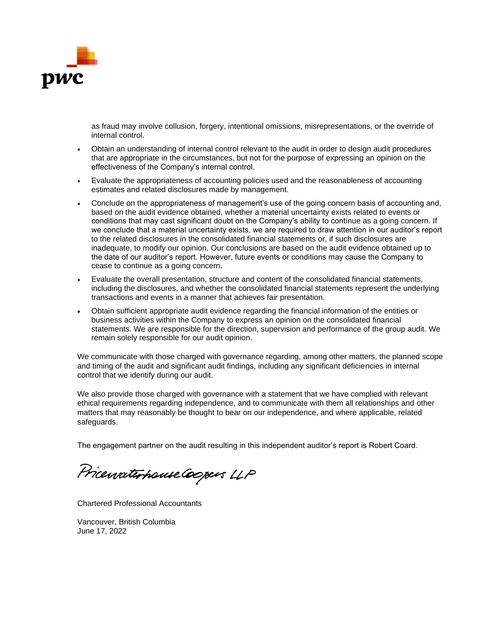

as fraud may involve collusion, forgery, intentional omissions, misrepresentations, or the override of internal control.

- Obtain an understanding of internal control relevant to the audit in order to design audit procedures that are appropriate in the circumstances, but not for the purpose of expressing an opinion on the effectiveness of the Company's internal control.
- Evaluate the appropriateness of accounting policies used and the reasonableness of accounting estimates and related disclosures made by management.
- Conclude on the appropriateness of management's use of the going concern basis of accounting and, based on the audit evidence obtained, whether a material uncertainty exists related to events or conditions that may cast significant doubt on the Company's ability to continue as a going concern. If we conclude that a material uncertainty exists, we are required to draw attention in our auditor's report to the related disclosures in the consolidated financial statements or, if such disclosures are inadequate, to modify our opinion. Our conclusions are based on the audit evidence obtained up to the date of our auditor's report. However, future events or conditions may cause the Company to cease to continue as a going concern.
- Evaluate the overall presentation, structure and content of the consolidated financial statements, including the disclosures, and whether the consolidated financial statements represent the underlying transactions and events in a manner that achieves fair presentation.
- Obtain sufficient appropriate audit evidence regarding the financial information of the entities or business activities within the Company to express an opinion on the consolidated financial statements. We are responsible for the direction, supervision and performance of the group audit. We remain solely responsible for our audit opinion.

We communicate with those charged with governance regarding, among other matters, the planned scope and timing of the audit and significant audit findings, including any significant deficiencies in internal control that we identify during our audit.

We also provide those charged with governance with a statement that we have complied with relevant ethical requirements regarding independence, and to communicate with them all relationships and other matters that may reasonably be thought to bear on our independence, and where applicable, related safeguards.

The engagement partner on the audit resulting in this independent auditor's report is Robert Coard.

PricewaterhouseCoopers LLP

Chartered Professional Accountants

Vancouver, British Columbia June 17, 2022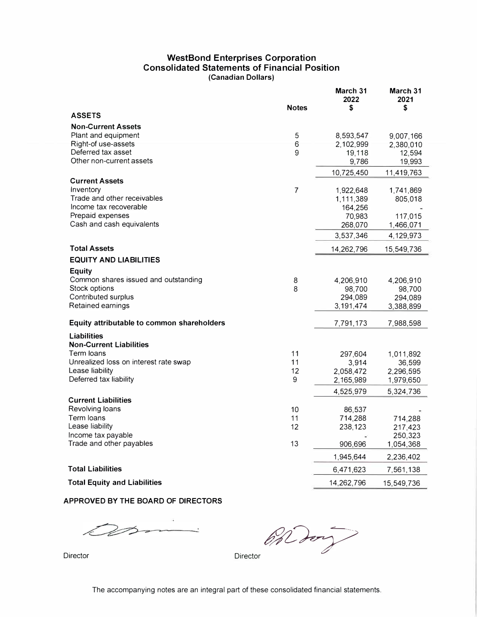#### **WestBond Enterprises Corporation Consolidated Statements of Financial Position (Canadian Dollars)**

|                                                          | <b>Notes</b>   | March 31<br>2022<br>\$ | March 31<br>2021<br>\$ |
|----------------------------------------------------------|----------------|------------------------|------------------------|
| <b>ASSETS</b>                                            |                |                        |                        |
| <b>Non-Current Assets</b>                                |                |                        |                        |
| Plant and equipment                                      | 5              | 8,593,547              | 9,007,166              |
| Right-of use-assets                                      | 6              | 2,102,999              | 2,380,010              |
| Deferred tax asset<br>Other non-current assets           | 9              | 19,118                 | 12,594                 |
|                                                          |                | 9,786                  | 19,993                 |
| <b>Current Assets</b>                                    |                | 10,725,450             | 11,419,763             |
| Inventory                                                | $\overline{7}$ | 1,922,648              | 1,741,869              |
| Trade and other receivables                              |                | 1,111,389              | 805,018                |
| Income tax recoverable                                   |                | 164,256                |                        |
| Prepaid expenses                                         |                | 70,983                 | 117,015                |
| Cash and cash equivalents                                |                | 268,070                | 1,466,071              |
|                                                          |                | 3,537,346              | 4,129,973              |
| <b>Total Assets</b>                                      |                | 14,262,796             | 15,549,736             |
| <b>EQUITY AND LIABILITIES</b>                            |                |                        |                        |
| <b>Equity</b>                                            |                |                        |                        |
| Common shares issued and outstanding                     | 8              | 4,206,910              | 4,206,910              |
| Stock options                                            | 8              | 98,700                 | 98,700                 |
| Contributed surplus                                      |                | 294,089                | 294,089                |
| Retained earnings                                        |                | 3,191,474              | 3,388,899              |
| Equity attributable to common shareholders               |                | 7,791,173              | 7,988,598              |
| Liabilities                                              |                |                        |                        |
| <b>Non-Current Liabilities</b>                           |                |                        |                        |
| Term Ioans                                               | 11             | 297,604                | 1,011,892              |
| Unrealized loss on interest rate swap<br>Lease liability | 11<br>12       | 3,914                  | 36,599                 |
| Deferred tax liability                                   | 9              | 2,058,472<br>2,165,989 | 2,296,595<br>1,979,650 |
|                                                          |                | 4,525,979              | 5,324,736              |
| <b>Current Liabilities</b>                               |                |                        |                        |
| Revolving loans                                          | 10             | 86,537                 |                        |
| Term loans                                               | 11             | 714,288                | 714,288                |
| Lease liability                                          | 12             | 238,123                | 217,423                |
| Income tax payable                                       |                |                        | 250,323                |
| Trade and other payables                                 | 13             | 906,696                | 1,054,368              |
|                                                          |                | 1,945,644              | 2,236,402              |
| <b>Total Liabilities</b>                                 |                | 6,471,623              | 7,561,138              |
| <b>Total Equity and Liabilities</b>                      |                | 14,262,796             | 15,549,736             |
|                                                          |                |                        |                        |

#### **APPROVED BY THE BOARD OF DIRECTORS**

 $\overline{u}$ 

Wery

Director **Director** Director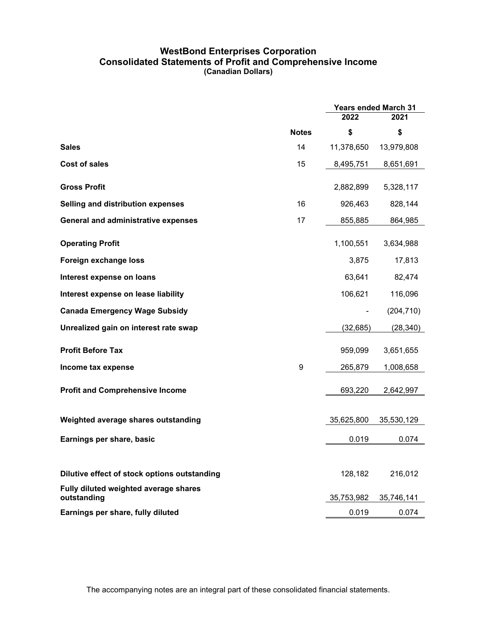### **WestBond Enterprises Corporation Consolidated Statements of Profit and Comprehensive Income (Canadian Dollars)**

|                                                      |              | <b>Years ended March 31</b> |            |
|------------------------------------------------------|--------------|-----------------------------|------------|
|                                                      |              | 2022                        | 2021       |
|                                                      | <b>Notes</b> | \$                          | \$         |
| <b>Sales</b>                                         | 14           | 11,378,650                  | 13,979,808 |
| <b>Cost of sales</b>                                 | 15           | 8,495,751                   | 8,651,691  |
| <b>Gross Profit</b>                                  |              | 2,882,899                   | 5,328,117  |
| Selling and distribution expenses                    | 16           | 926,463                     | 828,144    |
| General and administrative expenses                  | 17           | 855,885                     | 864,985    |
| <b>Operating Profit</b>                              |              | 1,100,551                   | 3,634,988  |
| Foreign exchange loss                                |              | 3,875                       | 17,813     |
| Interest expense on loans                            |              | 63,641                      | 82,474     |
| Interest expense on lease liability                  |              | 106,621                     | 116,096    |
| <b>Canada Emergency Wage Subsidy</b>                 |              |                             | (204, 710) |
| Unrealized gain on interest rate swap                |              | (32, 685)                   | (28, 340)  |
| <b>Profit Before Tax</b>                             |              | 959,099                     | 3,651,655  |
| Income tax expense                                   | 9            | 265,879                     | 1,008,658  |
| <b>Profit and Comprehensive Income</b>               |              | 693,220                     | 2,642,997  |
| Weighted average shares outstanding                  |              | 35,625,800                  | 35,530,129 |
| Earnings per share, basic                            |              | 0.019                       | 0.074      |
|                                                      |              |                             |            |
| Dilutive effect of stock options outstanding         |              | 128,182                     | 216,012    |
| Fully diluted weighted average shares<br>outstanding |              | 35,753,982                  | 35,746,141 |
| Earnings per share, fully diluted                    |              | 0.019                       | 0.074      |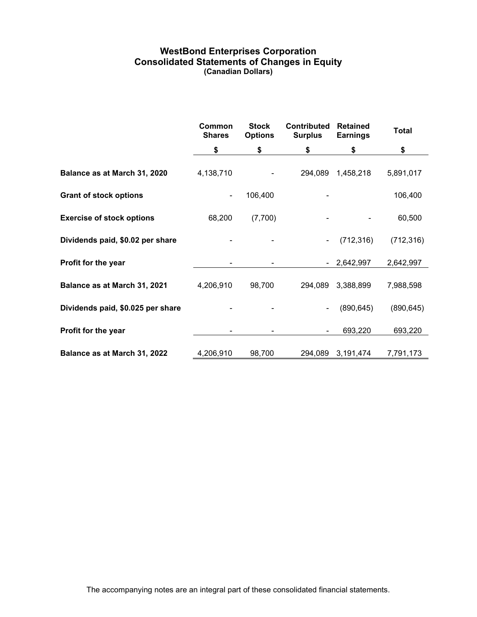### **WestBond Enterprises Corporation Consolidated Statements of Changes in Equity (Canadian Dollars)**

|                                   | Common<br><b>Shares</b> | <b>Stock</b><br><b>Options</b> | <b>Contributed</b><br><b>Surplus</b> | <b>Retained</b><br><b>Earnings</b> | <b>Total</b> |
|-----------------------------------|-------------------------|--------------------------------|--------------------------------------|------------------------------------|--------------|
|                                   | \$                      | \$                             | \$                                   | \$                                 | \$           |
| Balance as at March 31, 2020      | 4,138,710               |                                | 294,089                              | 1,458,218                          | 5,891,017    |
| <b>Grant of stock options</b>     |                         | 106,400                        |                                      |                                    | 106,400      |
| <b>Exercise of stock options</b>  | 68,200                  | (7,700)                        |                                      |                                    | 60,500       |
| Dividends paid, \$0.02 per share  |                         |                                |                                      | (712, 316)                         | (712, 316)   |
| Profit for the year               |                         |                                |                                      | $-2,642,997$                       | 2,642,997    |
| Balance as at March 31, 2021      | 4,206,910               | 98,700                         | 294,089                              | 3,388,899                          | 7,988,598    |
| Dividends paid, \$0.025 per share |                         |                                |                                      | (890, 645)                         | (890, 645)   |
| Profit for the year               |                         |                                | $\blacksquare$                       | 693,220                            | 693,220      |
| Balance as at March 31, 2022      | 4,206,910               | 98,700                         | 294,089                              | 3,191,474                          | 7,791,173    |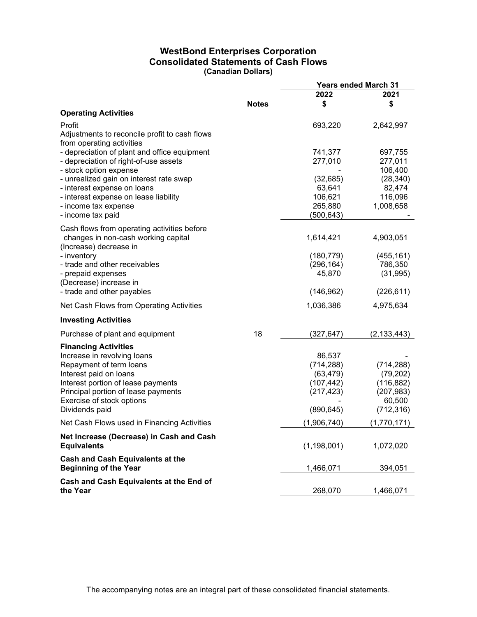#### **WestBond Enterprises Corporation Consolidated Statements of Cash Flows (Canadian Dollars)**

|                                               |              | Years ended March 31 |                      |
|-----------------------------------------------|--------------|----------------------|----------------------|
|                                               |              | 2022                 | 2021                 |
|                                               | <b>Notes</b> | \$                   | \$                   |
| <b>Operating Activities</b>                   |              |                      |                      |
| Profit                                        |              | 693,220              | 2,642,997            |
| Adjustments to reconcile profit to cash flows |              |                      |                      |
| from operating activities                     |              |                      |                      |
| - depreciation of plant and office equipment  |              | 741,377              | 697,755              |
| - depreciation of right-of-use assets         |              | 277,010              | 277,011              |
| - stock option expense                        |              |                      | 106,400              |
| - unrealized gain on interest rate swap       |              | (32, 685)            | (28, 340)            |
| - interest expense on loans                   |              | 63,641               | 82,474               |
| - interest expense on lease liability         |              | 106,621              | 116,096              |
| - income tax expense<br>- income tax paid     |              | 265,880<br>(500,643) | 1,008,658            |
|                                               |              |                      |                      |
| Cash flows from operating activities before   |              |                      |                      |
| changes in non-cash working capital           |              | 1,614,421            | 4,903,051            |
| (Increase) decrease in                        |              |                      |                      |
| - inventory                                   |              | (180, 779)           | (455, 161)           |
| - trade and other receivables                 |              | (296, 164)<br>45,870 | 786,350<br>(31, 995) |
| - prepaid expenses<br>(Decrease) increase in  |              |                      |                      |
| - trade and other payables                    |              | (146, 962)           | (226, 611)           |
| Net Cash Flows from Operating Activities      |              | 1,036,386            | 4,975,634            |
| <b>Investing Activities</b>                   |              |                      |                      |
|                                               |              |                      |                      |
| Purchase of plant and equipment               | 18           | (327, 647)           | (2, 133, 443)        |
| <b>Financing Activities</b>                   |              |                      |                      |
| Increase in revolving loans                   |              | 86,537               |                      |
| Repayment of term loans                       |              | (714, 288)           | (714, 288)           |
| Interest paid on loans                        |              | (63, 479)            | (79, 202)            |
| Interest portion of lease payments            |              | (107, 442)           | (116, 882)           |
| Principal portion of lease payments           |              | (217, 423)           | (207, 983)           |
| Exercise of stock options<br>Dividends paid   |              | (890, 645)           | 60,500<br>(712, 316) |
| Net Cash Flows used in Financing Activities   |              | (1,906,740)          | (1,770,171)          |
|                                               |              |                      |                      |
| Net Increase (Decrease) in Cash and Cash      |              |                      |                      |
| <b>Equivalents</b>                            |              | (1, 198, 001)        | 1,072,020            |
| <b>Cash and Cash Equivalents at the</b>       |              |                      |                      |
| <b>Beginning of the Year</b>                  |              | 1,466,071            | 394,051              |
| Cash and Cash Equivalents at the End of       |              |                      |                      |
| the Year                                      |              | 268,070              | 1,466,071            |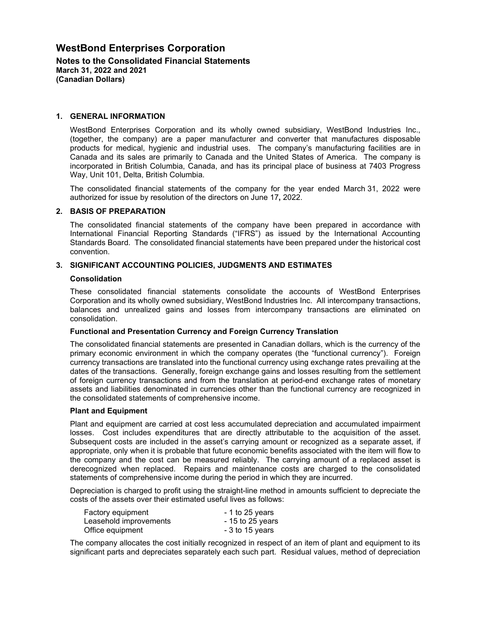**Notes to the Consolidated Financial Statements March 31, 2022 and 2021 (Canadian Dollars)**

#### **1. GENERAL INFORMATION**

WestBond Enterprises Corporation and its wholly owned subsidiary, WestBond Industries Inc., (together, the company) are a paper manufacturer and converter that manufactures disposable products for medical, hygienic and industrial uses. The company's manufacturing facilities are in Canada and its sales are primarily to Canada and the United States of America. The company is incorporated in British Columbia, Canada, and has its principal place of business at 7403 Progress Way, Unit 101, Delta, British Columbia.

The consolidated financial statements of the company for the year ended March 31, 2022 were authorized for issue by resolution of the directors on June 17**,** 2022.

#### **2. BASIS OF PREPARATION**

The consolidated financial statements of the company have been prepared in accordance with International Financial Reporting Standards ("IFRS") as issued by the International Accounting Standards Board. The consolidated financial statements have been prepared under the historical cost convention.

#### <span id="page-18-0"></span>**3. SIGNIFICANT ACCOUNTING POLICIES, JUDGMENTS AND ESTIMATES**

#### **Consolidation**

These consolidated financial statements consolidate the accounts of WestBond Enterprises Corporation and its wholly owned subsidiary, WestBond Industries Inc. All intercompany transactions, balances and unrealized gains and losses from intercompany transactions are eliminated on consolidation.

#### **Functional and Presentation Currency and Foreign Currency Translation**

The consolidated financial statements are presented in Canadian dollars, which is the currency of the primary economic environment in which the company operates (the "functional currency"). Foreign currency transactions are translated into the functional currency using exchange rates prevailing at the dates of the transactions. Generally, foreign exchange gains and losses resulting from the settlement of foreign currency transactions and from the translation at period-end exchange rates of monetary assets and liabilities denominated in currencies other than the functional currency are recognized in the consolidated statements of comprehensive income.

#### **Plant and Equipment**

Plant and equipment are carried at cost less accumulated depreciation and accumulated impairment losses. Cost includes expenditures that are directly attributable to the acquisition of the asset. Subsequent costs are included in the asset's carrying amount or recognized as a separate asset, if appropriate, only when it is probable that future economic benefits associated with the item will flow to the company and the cost can be measured reliably. The carrying amount of a replaced asset is derecognized when replaced. Repairs and maintenance costs are charged to the consolidated statements of comprehensive income during the period in which they are incurred.

Depreciation is charged to profit using the straight-line method in amounts sufficient to depreciate the costs of the assets over their estimated useful lives as follows:

| Factory equipment      | $-1$ to 25 years  |
|------------------------|-------------------|
| Leasehold improvements | $-15$ to 25 years |
| Office equipment       | $-3$ to 15 years  |

The company allocates the cost initially recognized in respect of an item of plant and equipment to its significant parts and depreciates separately each such part. Residual values, method of depreciation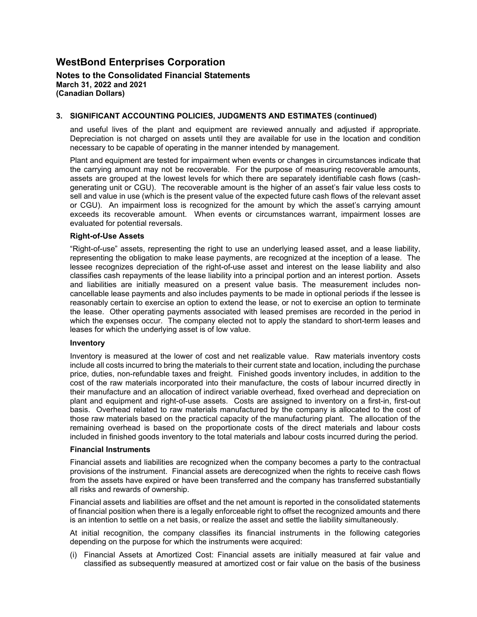#### **Notes to the Consolidated Financial Statements March 31, 2022 and 2021 (Canadian Dollars)**

#### **[3.](#page-18-0) SIGNIFICANT ACCOUNTING POLICIES, JUDGMENTS AND ESTIMATES (continued)**

and useful lives of the plant and equipment are reviewed annually and adjusted if appropriate. Depreciation is not charged on assets until they are available for use in the location and condition necessary to be capable of operating in the manner intended by management.

Plant and equipment are tested for impairment when events or changes in circumstances indicate that the carrying amount may not be recoverable. For the purpose of measuring recoverable amounts, assets are grouped at the lowest levels for which there are separately identifiable cash flows (cashgenerating unit or CGU). The recoverable amount is the higher of an asset's fair value less costs to sell and value in use (which is the present value of the expected future cash flows of the relevant asset or CGU). An impairment loss is recognized for the amount by which the asset's carrying amount exceeds its recoverable amount. When events or circumstances warrant, impairment losses are evaluated for potential reversals.

#### **Right-of-Use Assets**

"Right-of-use" assets, representing the right to use an underlying leased asset, and a lease liability, representing the obligation to make lease payments, are recognized at the inception of a lease. The lessee recognizes depreciation of the right-of-use asset and interest on the lease liability and also classifies cash repayments of the lease liability into a principal portion and an interest portion. Assets and liabilities are initially measured on a present value basis. The measurement includes noncancellable lease payments and also includes payments to be made in optional periods if the lessee is reasonably certain to exercise an option to extend the lease, or not to exercise an option to terminate the lease. Other operating payments associated with leased premises are recorded in the period in which the expenses occur. The company elected not to apply the standard to short-term leases and leases for which the underlying asset is of low value.

#### **Inventory**

Inventory is measured at the lower of cost and net realizable value. Raw materials inventory costs include all costs incurred to bring the materials to their current state and location, including the purchase price, duties, non-refundable taxes and freight. Finished goods inventory includes, in addition to the cost of the raw materials incorporated into their manufacture, the costs of labour incurred directly in their manufacture and an allocation of indirect variable overhead, fixed overhead and depreciation on plant and equipment and right-of-use assets. Costs are assigned to inventory on a first-in, first-out basis. Overhead related to raw materials manufactured by the company is allocated to the cost of those raw materials based on the practical capacity of the manufacturing plant. The allocation of the remaining overhead is based on the proportionate costs of the direct materials and labour costs included in finished goods inventory to the total materials and labour costs incurred during the period.

#### **Financial Instruments**

Financial assets and liabilities are recognized when the company becomes a party to the contractual provisions of the instrument. Financial assets are derecognized when the rights to receive cash flows from the assets have expired or have been transferred and the company has transferred substantially all risks and rewards of ownership.

Financial assets and liabilities are offset and the net amount is reported in the consolidated statements of financial position when there is a legally enforceable right to offset the recognized amounts and there is an intention to settle on a net basis, or realize the asset and settle the liability simultaneously.

At initial recognition, the company classifies its financial instruments in the following categories depending on the purpose for which the instruments were acquired:

(i) Financial Assets at Amortized Cost: Financial assets are initially measured at fair value and classified as subsequently measured at amortized cost or fair value on the basis of the business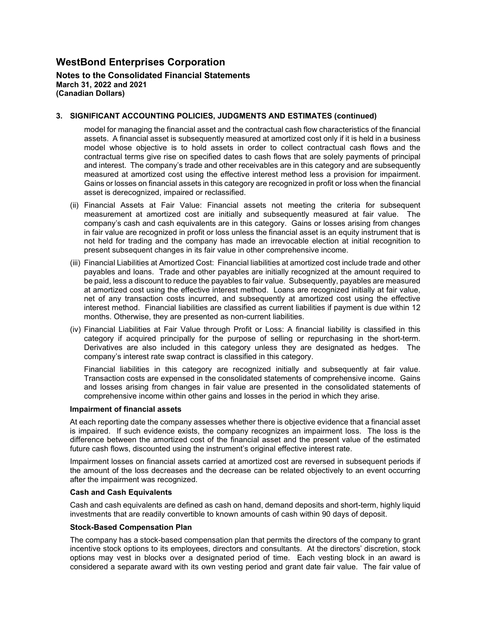#### **Notes to the Consolidated Financial Statements March 31, 2022 and 2021 (Canadian Dollars)**

#### **[3.](#page-18-0) SIGNIFICANT ACCOUNTING POLICIES, JUDGMENTS AND ESTIMATES (continued)**

model for managing the financial asset and the contractual cash flow characteristics of the financial assets. A financial asset is subsequently measured at amortized cost only if it is held in a business model whose objective is to hold assets in order to collect contractual cash flows and the contractual terms give rise on specified dates to cash flows that are solely payments of principal and interest. The company's trade and other receivables are in this category and are subsequently measured at amortized cost using the effective interest method less a provision for impairment. Gains or losses on financial assets in this category are recognized in profit or loss when the financial asset is derecognized, impaired or reclassified.

- (ii) Financial Assets at Fair Value: Financial assets not meeting the criteria for subsequent measurement at amortized cost are initially and subsequently measured at fair value. The company's cash and cash equivalents are in this category. Gains or losses arising from changes in fair value are recognized in profit or loss unless the financial asset is an equity instrument that is not held for trading and the company has made an irrevocable election at initial recognition to present subsequent changes in its fair value in other comprehensive income.
- (iii) Financial Liabilities at Amortized Cost: Financial liabilities at amortized cost include trade and other payables and loans. Trade and other payables are initially recognized at the amount required to be paid, less a discount to reduce the payables to fair value. Subsequently, payables are measured at amortized cost using the effective interest method. Loans are recognized initially at fair value, net of any transaction costs incurred, and subsequently at amortized cost using the effective interest method. Financial liabilities are classified as current liabilities if payment is due within 12 months. Otherwise, they are presented as non-current liabilities.
- (iv) Financial Liabilities at Fair Value through Profit or Loss: A financial liability is classified in this category if acquired principally for the purpose of selling or repurchasing in the short-term. Derivatives are also included in this category unless they are designated as hedges. The company's interest rate swap contract is classified in this category.

Financial liabilities in this category are recognized initially and subsequently at fair value. Transaction costs are expensed in the consolidated statements of comprehensive income. Gains and losses arising from changes in fair value are presented in the consolidated statements of comprehensive income within other gains and losses in the period in which they arise.

#### **Impairment of financial assets**

At each reporting date the company assesses whether there is objective evidence that a financial asset is impaired. If such evidence exists, the company recognizes an impairment loss. The loss is the difference between the amortized cost of the financial asset and the present value of the estimated future cash flows, discounted using the instrument's original effective interest rate.

Impairment losses on financial assets carried at amortized cost are reversed in subsequent periods if the amount of the loss decreases and the decrease can be related objectively to an event occurring after the impairment was recognized.

#### **Cash and Cash Equivalents**

Cash and cash equivalents are defined as cash on hand, demand deposits and short-term, highly liquid investments that are readily convertible to known amounts of cash within 90 days of deposit.

#### **Stock-Based Compensation Plan**

The company has a stock-based compensation plan that permits the directors of the company to grant incentive stock options to its employees, directors and consultants. At the directors' discretion, stock options may vest in blocks over a designated period of time. Each vesting block in an award is considered a separate award with its own vesting period and grant date fair value. The fair value of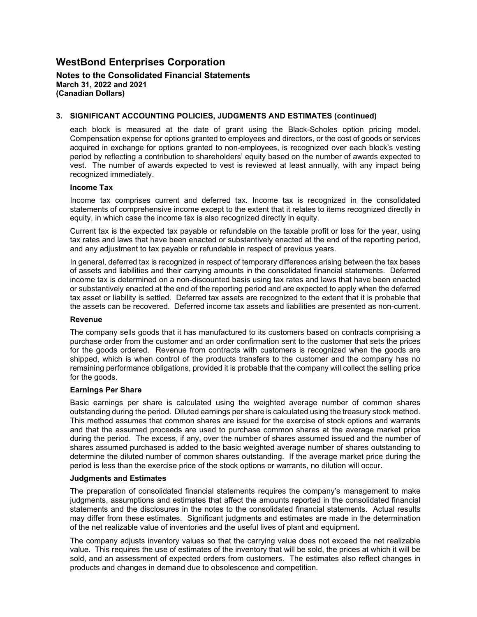#### **Notes to the Consolidated Financial Statements March 31, 2022 and 2021 (Canadian Dollars)**

#### **[3.](#page-18-0) SIGNIFICANT ACCOUNTING POLICIES, JUDGMENTS AND ESTIMATES (continued)**

each block is measured at the date of grant using the Black-Scholes option pricing model. Compensation expense for options granted to employees and directors, or the cost of goods or services acquired in exchange for options granted to non-employees, is recognized over each block's vesting period by reflecting a contribution to shareholders' equity based on the number of awards expected to vest. The number of awards expected to vest is reviewed at least annually, with any impact being recognized immediately.

#### **Income Tax**

Income tax comprises current and deferred tax. Income tax is recognized in the consolidated statements of comprehensive income except to the extent that it relates to items recognized directly in equity, in which case the income tax is also recognized directly in equity.

Current tax is the expected tax payable or refundable on the taxable profit or loss for the year, using tax rates and laws that have been enacted or substantively enacted at the end of the reporting period, and any adjustment to tax payable or refundable in respect of previous years.

In general, deferred tax is recognized in respect of temporary differences arising between the tax bases of assets and liabilities and their carrying amounts in the consolidated financial statements. Deferred income tax is determined on a non-discounted basis using tax rates and laws that have been enacted or substantively enacted at the end of the reporting period and are expected to apply when the deferred tax asset or liability is settled. Deferred tax assets are recognized to the extent that it is probable that the assets can be recovered. Deferred income tax assets and liabilities are presented as non-current.

#### **Revenue**

The company sells goods that it has manufactured to its customers based on contracts comprising a purchase order from the customer and an order confirmation sent to the customer that sets the prices for the goods ordered. Revenue from contracts with customers is recognized when the goods are shipped, which is when control of the products transfers to the customer and the company has no remaining performance obligations, provided it is probable that the company will collect the selling price for the goods.

#### **Earnings Per Share**

Basic earnings per share is calculated using the weighted average number of common shares outstanding during the period. Diluted earnings per share is calculated using the treasury stock method. This method assumes that common shares are issued for the exercise of stock options and warrants and that the assumed proceeds are used to purchase common shares at the average market price during the period. The excess, if any, over the number of shares assumed issued and the number of shares assumed purchased is added to the basic weighted average number of shares outstanding to determine the diluted number of common shares outstanding. If the average market price during the period is less than the exercise price of the stock options or warrants, no dilution will occur.

#### **Judgments and Estimates**

The preparation of consolidated financial statements requires the company's management to make judgments, assumptions and estimates that affect the amounts reported in the consolidated financial statements and the disclosures in the notes to the consolidated financial statements. Actual results may differ from these estimates. Significant judgments and estimates are made in the determination of the net realizable value of inventories and the useful lives of plant and equipment.

The company adjusts inventory values so that the carrying value does not exceed the net realizable value. This requires the use of estimates of the inventory that will be sold, the prices at which it will be sold, and an assessment of expected orders from customers. The estimates also reflect changes in products and changes in demand due to obsolescence and competition.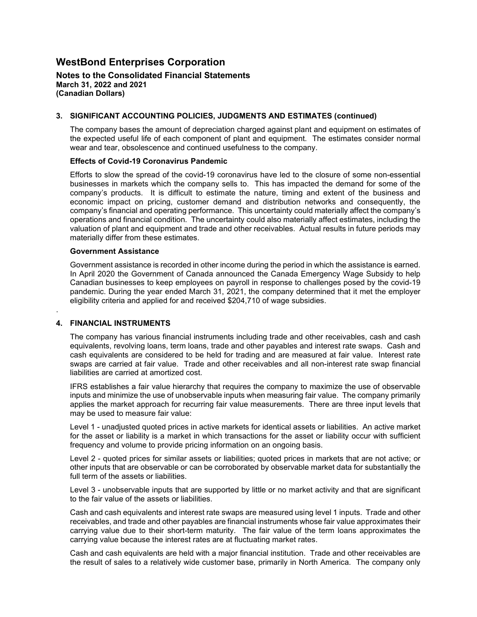#### **Notes to the Consolidated Financial Statements March 31, 2022 and 2021 (Canadian Dollars)**

#### **[3.](#page-18-0) SIGNIFICANT ACCOUNTING POLICIES, JUDGMENTS AND ESTIMATES (continued)**

The company bases the amount of depreciation charged against plant and equipment on estimates of the expected useful life of each component of plant and equipment. The estimates consider normal wear and tear, obsolescence and continued usefulness to the company.

#### **Effects of Covid-19 Coronavirus Pandemic**

Efforts to slow the spread of the covid-19 coronavirus have led to the closure of some non-essential businesses in markets which the company sells to. This has impacted the demand for some of the company's products. It is difficult to estimate the nature, timing and extent of the business and economic impact on pricing, customer demand and distribution networks and consequently, the company's financial and operating performance. This uncertainty could materially affect the company's operations and financial condition. The uncertainty could also materially affect estimates, including the valuation of plant and equipment and trade and other receivables. Actual results in future periods may materially differ from these estimates.

#### **Government Assistance**

Government assistance is recorded in other income during the period in which the assistance is earned. In April 2020 the Government of Canada announced the Canada Emergency Wage Subsidy to help Canadian businesses to keep employees on payroll in response to challenges posed by the covid-19 pandemic. During the year ended March 31, 2021, the company determined that it met the employer eligibility criteria and applied for and received \$204,710 of wage subsidies.

#### <span id="page-22-0"></span>**4. FINANCIAL INSTRUMENTS**

.

The company has various financial instruments including trade and other receivables, cash and cash equivalents, revolving loans, term loans, trade and other payables and interest rate swaps. Cash and cash equivalents are considered to be held for trading and are measured at fair value. Interest rate swaps are carried at fair value. Trade and other receivables and all non-interest rate swap financial liabilities are carried at amortized cost.

IFRS establishes a fair value hierarchy that requires the company to maximize the use of observable inputs and minimize the use of unobservable inputs when measuring fair value. The company primarily applies the market approach for recurring fair value measurements. There are three input levels that may be used to measure fair value:

Level 1 - unadjusted quoted prices in active markets for identical assets or liabilities. An active market for the asset or liability is a market in which transactions for the asset or liability occur with sufficient frequency and volume to provide pricing information on an ongoing basis.

Level 2 - quoted prices for similar assets or liabilities; quoted prices in markets that are not active; or other inputs that are observable or can be corroborated by observable market data for substantially the full term of the assets or liabilities.

Level 3 - unobservable inputs that are supported by little or no market activity and that are significant to the fair value of the assets or liabilities.

Cash and cash equivalents and interest rate swaps are measured using level 1 inputs. Trade and other receivables, and trade and other payables are financial instruments whose fair value approximates their carrying value due to their short-term maturity. The fair value of the term loans approximates the carrying value because the interest rates are at fluctuating market rates.

Cash and cash equivalents are held with a major financial institution. Trade and other receivables are the result of sales to a relatively wide customer base, primarily in North America. The company only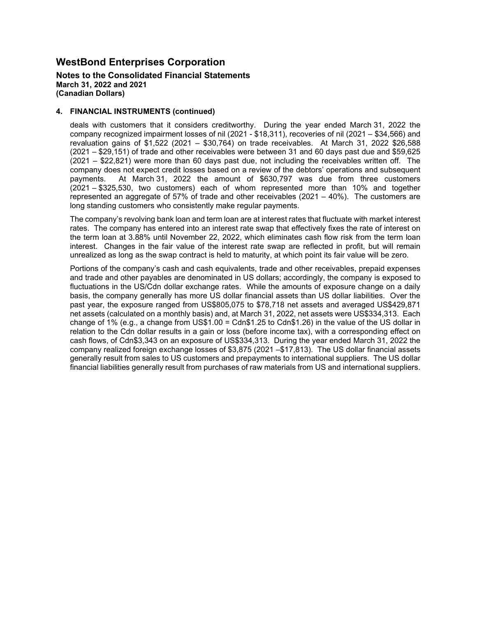#### **Notes to the Consolidated Financial Statements March 31, 2022 and 2021 (Canadian Dollars)**

#### **[4.](#page-22-0) FINANCIAL INSTRUMENTS (continued)**

deals with customers that it considers creditworthy. During the year ended March 31, 2022 the company recognized impairment losses of nil (2021 - \$18,311), recoveries of nil (2021 – \$34,566) and revaluation gains of \$1,522 (2021 – \$30,764) on trade receivables. At March 31, 2022 \$26,588 (2021 – \$29,151) of trade and other receivables were between 31 and 60 days past due and \$59,625 (2021 – \$22,821) were more than 60 days past due, not including the receivables written off. The company does not expect credit losses based on a review of the debtors' operations and subsequent payments. At March 31, 2022 the amount of \$630,797 was due from three customers (2021 – \$325,530, two customers) each of whom represented more than 10% and together represented an aggregate of 57% of trade and other receivables (2021 – 40%). The customers are long standing customers who consistently make regular payments.

The company's revolving bank loan and term loan are at interest rates that fluctuate with market interest rates. The company has entered into an interest rate swap that effectively fixes the rate of interest on the term loan at 3.88% until November 22, 2022, which eliminates cash flow risk from the term loan interest. Changes in the fair value of the interest rate swap are reflected in profit, but will remain unrealized as long as the swap contract is held to maturity, at which point its fair value will be zero.

Portions of the company's cash and cash equivalents, trade and other receivables, prepaid expenses and trade and other payables are denominated in US dollars; accordingly, the company is exposed to fluctuations in the US/Cdn dollar exchange rates. While the amounts of exposure change on a daily basis, the company generally has more US dollar financial assets than US dollar liabilities. Over the past year, the exposure ranged from US\$805,075 to \$78,718 net assets and averaged US\$429,871 net assets (calculated on a monthly basis) and, at March 31, 2022, net assets were US\$334,313. Each change of 1% (e.g., a change from US\$1.00 = Cdn\$1.25 to Cdn\$1.26) in the value of the US dollar in relation to the Cdn dollar results in a gain or loss (before income tax), with a corresponding effect on cash flows, of Cdn\$3,343 on an exposure of US\$334,313. During the year ended March 31, 2022 the company realized foreign exchange losses of \$3,875 (2021 –\$17,813). The US dollar financial assets generally result from sales to US customers and prepayments to international suppliers. The US dollar financial liabilities generally result from purchases of raw materials from US and international suppliers.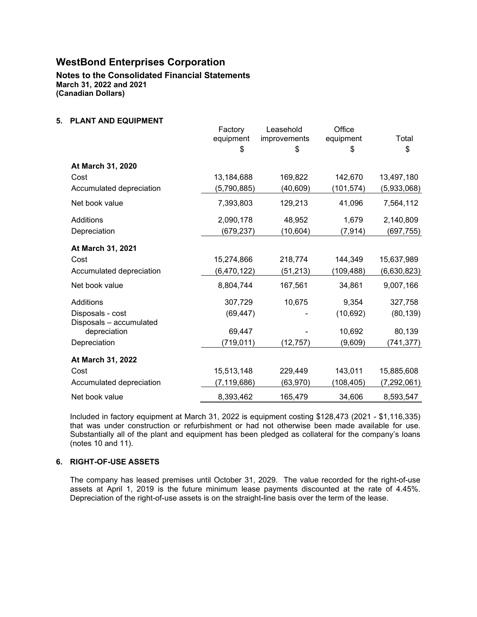**Notes to the Consolidated Financial Statements March 31, 2022 and 2021 (Canadian Dollars)**

#### <span id="page-24-0"></span>**5. PLANT AND EQUIPMENT**

|                                             | Factory<br>equipment<br>\$ | Leasehold<br>improvements<br>\$ | Office<br>equipment<br>\$ | Total<br>\$   |
|---------------------------------------------|----------------------------|---------------------------------|---------------------------|---------------|
| At March 31, 2020                           |                            |                                 |                           |               |
| Cost                                        | 13,184,688                 | 169,822                         | 142,670                   | 13,497,180    |
| Accumulated depreciation                    | (5,790,885)                | (40, 609)                       | (101, 574)                | (5,933,068)   |
| Net book value                              | 7,393,803                  | 129,213                         | 41,096                    | 7,564,112     |
| Additions                                   | 2,090,178                  | 48,952                          | 1,679                     | 2,140,809     |
| Depreciation                                | (679, 237)                 | (10, 604)                       | (7, 914)                  | (697,755)     |
| At March 31, 2021                           |                            |                                 |                           |               |
| Cost                                        | 15,274,866                 | 218,774                         | 144,349                   | 15,637,989    |
| Accumulated depreciation                    | (6, 470, 122)              | (51, 213)                       | (109, 488)                | (6,630,823)   |
| Net book value                              | 8,804,744                  | 167,561                         | 34,861                    | 9,007,166     |
| <b>Additions</b>                            | 307,729                    | 10,675                          | 9,354                     | 327,758       |
| Disposals - cost<br>Disposals - accumulated | (69, 447)                  |                                 | (10, 692)                 | (80, 139)     |
| depreciation                                | 69,447                     |                                 | 10,692                    | 80,139        |
| Depreciation                                | (719, 011)                 | (12, 757)                       | (9,609)                   | (741,377)     |
| At March 31, 2022                           |                            |                                 |                           |               |
| Cost                                        | 15,513,148                 | 229,449                         | 143,011                   | 15,885,608    |
| Accumulated depreciation                    | (7, 119, 686)              | (63, 970)                       | (108, 405)                | (7, 292, 061) |
| Net book value                              | 8,393,462                  | 165,479                         | 34,606                    | 8,593,547     |

Included in factory equipment at March 31, 2022 is equipment costing \$128,473 (2021 - \$1,116,335) that was under construction or refurbishment or had not otherwise been made available for use. Substantially all of the plant and equipment has been pledged as collateral for the company's loans (notes [10](#page-27-1) and [11\)](#page-27-0).

#### <span id="page-24-1"></span>**6. RIGHT-OF-USE ASSETS**

The company has leased premises until October 31, 2029. The value recorded for the right-of-use assets at April 1, 2019 is the future minimum lease payments discounted at the rate of 4.45%. Depreciation of the right-of-use assets is on the straight-line basis over the term of the lease.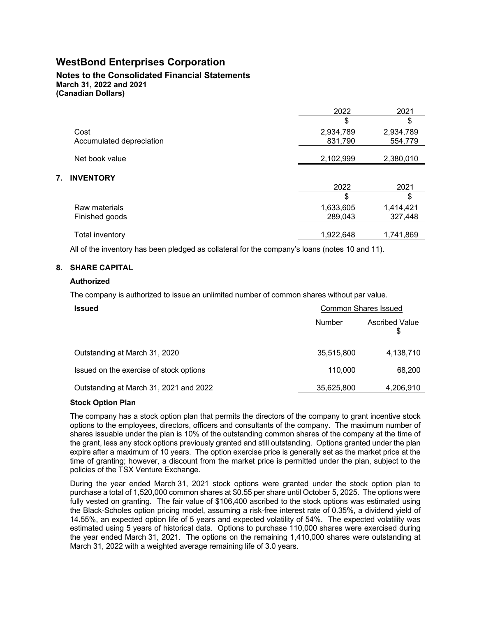### **Notes to the Consolidated Financial Statements March 31, 2022 and 2021**

**(Canadian Dollars)**

|                          | 2022      | 2021      |
|--------------------------|-----------|-----------|
|                          | \$        | \$        |
| Cost                     | 2,934,789 | 2,934,789 |
| Accumulated depreciation | 831,790   | 554,779   |
| Net book value           | 2,102,999 | 2,380,010 |
| <b>INVENTORY</b><br>7.   |           |           |
|                          | 2022      | 2021      |
|                          | \$        | \$        |
| Raw materials            | 1,633,605 | 1,414,421 |
| Finished goods           | 289,043   | 327,448   |
| <b>Total inventory</b>   | 1,922,648 | 1,741,869 |

All of the inventory has been pledged as collateral for the company's loans (notes [10](#page-27-1) and [11\)](#page-27-0).

#### <span id="page-25-0"></span>**8. SHARE CAPITAL**

#### **Authorized**

The company is authorized to issue an unlimited number of common shares without par value.

| <b>Issued</b>                           | <b>Common Shares Issued</b> |                             |
|-----------------------------------------|-----------------------------|-----------------------------|
|                                         | <b>Number</b>               | <b>Ascribed Value</b><br>\$ |
| Outstanding at March 31, 2020           | 35,515,800                  | 4,138,710                   |
| Issued on the exercise of stock options | 110,000                     | 68,200                      |
| Outstanding at March 31, 2021 and 2022  | 35,625,800                  | 4,206,910                   |

#### **Stock Option Plan**

The company has a stock option plan that permits the directors of the company to grant incentive stock options to the employees, directors, officers and consultants of the company. The maximum number of shares issuable under the plan is 10% of the outstanding common shares of the company at the time of the grant, less any stock options previously granted and still outstanding. Options granted under the plan expire after a maximum of 10 years. The option exercise price is generally set as the market price at the time of granting; however, a discount from the market price is permitted under the plan, subject to the policies of the TSX Venture Exchange.

During the year ended March 31, 2021 stock options were granted under the stock option plan to purchase a total of 1,520,000 common shares at \$0.55 per share until October 5, 2025. The options were fully vested on granting. The fair value of \$106,400 ascribed to the stock options was estimated using the Black-Scholes option pricing model, assuming a risk-free interest rate of 0.35%, a dividend yield of 14.55%, an expected option life of 5 years and expected volatility of 54%. The expected volatility was estimated using 5 years of historical data. Options to purchase 110,000 shares were exercised during the year ended March 31, 2021. The options on the remaining 1,410,000 shares were outstanding at March 31, 2022 with a weighted average remaining life of 3.0 years.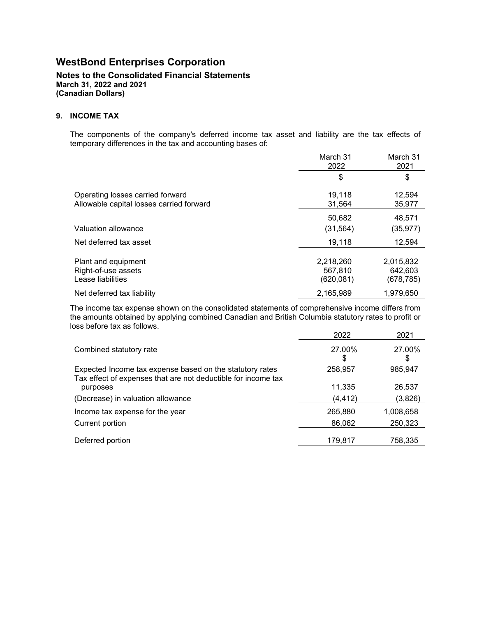**Notes to the Consolidated Financial Statements March 31, 2022 and 2021 (Canadian Dollars)**

#### <span id="page-26-0"></span>**9. INCOME TAX**

The components of the company's deferred income tax asset and liability are the tax effects of temporary differences in the tax and accounting bases of:

|                                                                              | March 31<br>2022                  | March 31<br>2021                  |
|------------------------------------------------------------------------------|-----------------------------------|-----------------------------------|
|                                                                              | \$                                | \$                                |
| Operating losses carried forward<br>Allowable capital losses carried forward | 19,118<br>31,564                  | 12,594<br>35,977                  |
| Valuation allowance                                                          | 50,682<br>(31,564)                | 48,571<br>(35,977)                |
| Net deferred tax asset                                                       | 19,118                            | 12,594                            |
| Plant and equipment<br>Right-of-use assets<br>Lease liabilities              | 2,218,260<br>567,810<br>(620,081) | 2,015,832<br>642,603<br>(678,785) |
| Net deferred tax liability                                                   | 2,165,989                         | 1,979,650                         |

The income tax expense shown on the consolidated statements of comprehensive income differs from the amounts obtained by applying combined Canadian and British Columbia statutory rates to profit or loss before tax as follows.

|                                                                                                                           | 2022         | 2021        |
|---------------------------------------------------------------------------------------------------------------------------|--------------|-------------|
| Combined statutory rate                                                                                                   | 27.00%<br>\$ | 27.00%<br>S |
| Expected Income tax expense based on the statutory rates<br>Tax effect of expenses that are not deductible for income tax | 258,957      | 985,947     |
| purposes                                                                                                                  | 11,335       | 26,537      |
| (Decrease) in valuation allowance                                                                                         | (4, 412)     | (3,826)     |
| Income tax expense for the year                                                                                           | 265,880      | 1,008,658   |
| Current portion                                                                                                           | 86,062       | 250,323     |
| Deferred portion                                                                                                          | 179,817      | 758,335     |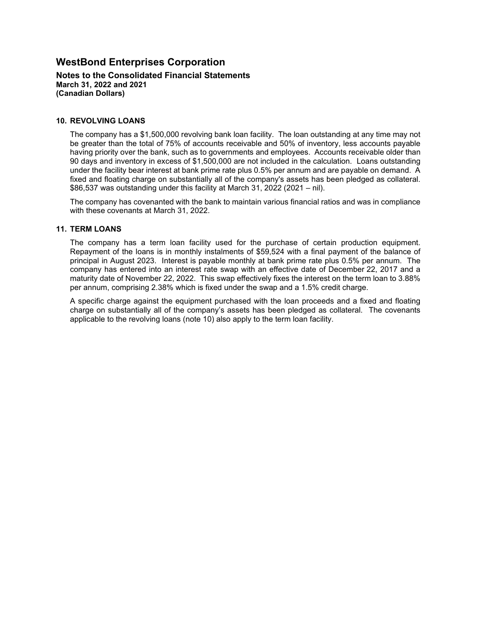#### **Notes to the Consolidated Financial Statements March 31, 2022 and 2021 (Canadian Dollars)**

#### <span id="page-27-1"></span>**10. REVOLVING LOANS**

The company has a \$1,500,000 revolving bank loan facility. The loan outstanding at any time may not be greater than the total of 75% of accounts receivable and 50% of inventory, less accounts payable having priority over the bank, such as to governments and employees. Accounts receivable older than 90 days and inventory in excess of \$1,500,000 are not included in the calculation. Loans outstanding under the facility bear interest at bank prime rate plus 0.5% per annum and are payable on demand. A fixed and floating charge on substantially all of the company's assets has been pledged as collateral. \$86,537 was outstanding under this facility at March 31, 2022 (2021 – nil).

The company has covenanted with the bank to maintain various financial ratios and was in compliance with these covenants at March 31, 2022.

#### <span id="page-27-0"></span>**11. TERM LOANS**

The company has a term loan facility used for the purchase of certain production equipment. Repayment of the loans is in monthly instalments of \$59,524 with a final payment of the balance of principal in August 2023. Interest is payable monthly at bank prime rate plus 0.5% per annum. The company has entered into an interest rate swap with an effective date of December 22, 2017 and a maturity date of November 22, 2022. This swap effectively fixes the interest on the term loan to 3.88% per annum, comprising 2.38% which is fixed under the swap and a 1.5% credit charge.

A specific charge against the equipment purchased with the loan proceeds and a fixed and floating charge on substantially all of the company's assets has been pledged as collateral. The covenants applicable to the revolving loans (note [10\)](#page-27-1) also apply to the term loan facility.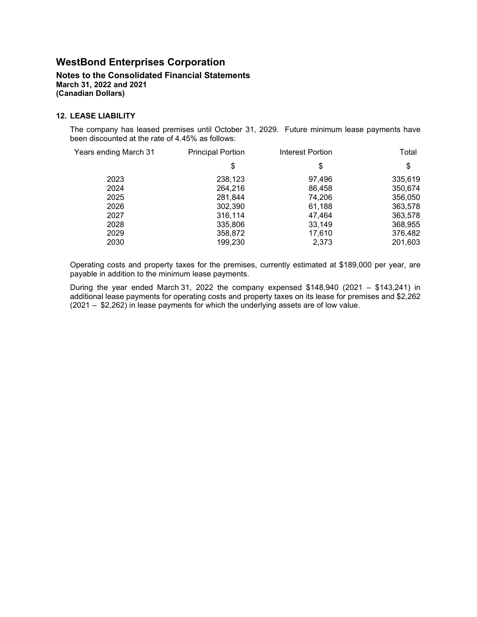#### **Notes to the Consolidated Financial Statements March 31, 2022 and 2021 (Canadian Dollars)**

#### <span id="page-28-0"></span>**12. LEASE LIABILITY**

The company has leased premises until October 31, 2029. Future minimum lease payments have been discounted at the rate of 4.45% as follows:

| Years ending March 31 | <b>Principal Portion</b> | Interest Portion | Total   |
|-----------------------|--------------------------|------------------|---------|
|                       | \$                       | \$               | \$      |
| 2023                  | 238,123                  | 97,496           | 335,619 |
| 2024                  | 264,216                  | 86,458           | 350,674 |
| 2025                  | 281,844                  | 74.206           | 356,050 |
| 2026                  | 302,390                  | 61,188           | 363,578 |
| 2027                  | 316,114                  | 47,464           | 363,578 |
| 2028                  | 335,806                  | 33,149           | 368,955 |
| 2029                  | 358,872                  | 17,610           | 376,482 |
| 2030                  | 199,230                  | 2,373            | 201,603 |
|                       |                          |                  |         |

Operating costs and property taxes for the premises, currently estimated at \$189,000 per year, are payable in addition to the minimum lease payments.

During the year ended March 31, 2022 the company expensed \$148,940 (2021 – \$143,241) in additional lease payments for operating costs and property taxes on its lease for premises and \$2,262 (2021 – \$2,262) in lease payments for which the underlying assets are of low value.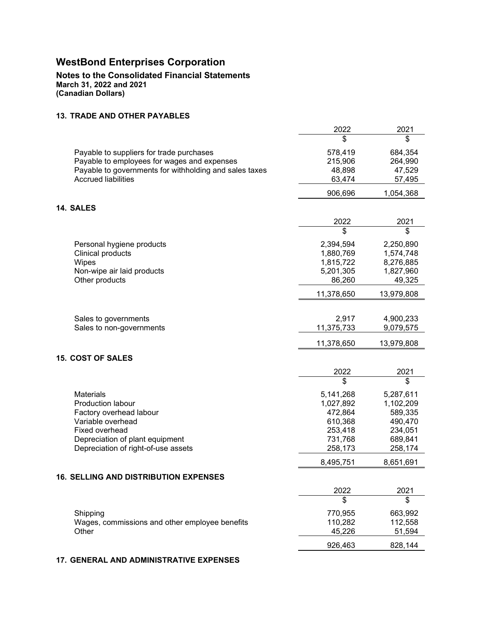**Notes to the Consolidated Financial Statements March 31, 2022 and 2021 (Canadian Dollars)**

#### <span id="page-29-0"></span>**13. TRADE AND OTHER PAYABLES**

<span id="page-29-1"></span>

|                                          |                                                        | 2022                    | 2021       |
|------------------------------------------|--------------------------------------------------------|-------------------------|------------|
|                                          |                                                        | \$                      | \$         |
| Payable to suppliers for trade purchases | 578,419                                                | 684,354                 |            |
|                                          | Payable to employees for wages and expenses            | 215,906                 | 264,990    |
|                                          | Payable to governments for withholding and sales taxes | 48,898                  | 47,529     |
| <b>Accrued liabilities</b>               | 63,474                                                 | 57,495                  |            |
|                                          |                                                        | 906,696                 | 1,054,368  |
|                                          | <b>14. SALES</b>                                       |                         |            |
|                                          |                                                        | 2022                    | 2021       |
|                                          |                                                        | \$                      | \$         |
|                                          | Personal hygiene products                              | 2,394,594               | 2,250,890  |
|                                          | Clinical products                                      | 1,880,769               | 1,574,748  |
|                                          | Wipes                                                  | 1,815,722               | 8,276,885  |
|                                          | Non-wipe air laid products                             | 5,201,305               | 1,827,960  |
|                                          | Other products                                         | 86,260                  | 49,325     |
|                                          |                                                        | 11,378,650              | 13,979,808 |
|                                          | Sales to governments                                   | 2,917                   | 4,900,233  |
|                                          | Sales to non-governments                               | 11,375,733              | 9,079,575  |
|                                          |                                                        | 11,378,650              | 13,979,808 |
|                                          | <b>15. COST OF SALES</b>                               |                         |            |
|                                          |                                                        | 2022                    | 2021       |
|                                          |                                                        | $\overline{\mathbf{s}}$ | \$         |
|                                          | <b>Materials</b>                                       | 5,141,268               | 5,287,611  |
|                                          | <b>Production labour</b>                               | 1,027,892               | 1,102,209  |
|                                          | Factory overhead labour                                | 472,864                 | 589,335    |
|                                          | Variable overhead                                      | 610,368                 | 490,470    |
|                                          | Fixed overhead                                         | 253,418                 | 234,051    |
|                                          | Depreciation of plant equipment                        | 731,768                 | 689,841    |
|                                          | Depreciation of right-of-use assets                    | 258,173                 | 258,174    |
|                                          |                                                        | 8,495,751               | 8,651,691  |
|                                          | <b>16. SELLING AND DISTRIBUTION EXPENSES</b>           |                         |            |
|                                          |                                                        | 2022                    | 2021       |
|                                          |                                                        | \$                      | \$         |
|                                          | Shipping                                               | 770,955                 | 663,992    |
|                                          | Wages, commissions and other employee benefits         | 110,282                 | 112,558    |
| Other                                    |                                                        | 45,226                  | 51,594     |
|                                          |                                                        | 926,463                 | 828,144    |
|                                          |                                                        |                         |            |

#### <span id="page-29-4"></span><span id="page-29-3"></span><span id="page-29-2"></span>**17. GENERAL AND ADMINISTRATIVE EXPENSES**